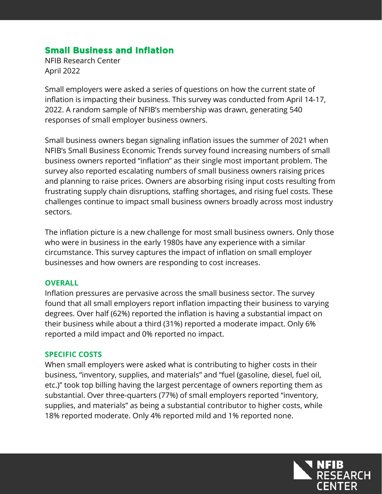# **Small Business and Inflation**

NFIB Research Center April 2022

Small employers were asked a series of questions on how the current state of inflation is impacting their business. This survey was conducted from April 14-17, 2022. A random sample of NFIB's membership was drawn, generating 540 responses of small employer business owners.

Small business owners began signaling inflation issues the summer of 2021 when NFIB's Small Business Economic Trends survey found increasing numbers of small business owners reported "inflation" as their single most important problem. The survey also reported escalating numbers of small business owners raising prices and planning to raise prices. Owners are absorbing rising input costs resulting from frustrating supply chain disruptions, staffing shortages, and rising fuel costs. These challenges continue to impact small business owners broadly across most industry sectors.

The inflation picture is a new challenge for most small business owners. Only those who were in business in the early 1980s have any experience with a similar circumstance. This survey captures the impact of inflation on small employer businesses and how owners are responding to cost increases.

#### **OVERALL**

Inflation pressures are pervasive across the small business sector. The survey found that all small employers report inflation impacting their business to varying degrees. Over half (62%) reported the inflation is having a substantial impact on their business while about a third (31%) reported a moderate impact. Only 6% reported a mild impact and 0% reported no impact.

#### **SPECIFIC COSTS**

When small employers were asked what is contributing to higher costs in their business, "inventory, supplies, and materials" and "fuel (gasoline, diesel, fuel oil, etc.)" took top billing having the largest percentage of owners reporting them as substantial. Over three-quarters (77%) of small employers reported "inventory, supplies, and materials" as being a substantial contributor to higher costs, while 18% reported moderate. Only 4% reported mild and 1% reported none.

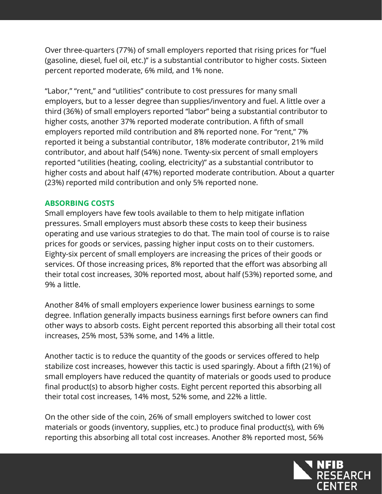Over three-quarters (77%) of small employers reported that rising prices for "fuel (gasoline, diesel, fuel oil, etc.)" is a substantial contributor to higher costs. Sixteen percent reported moderate, 6% mild, and 1% none.

"Labor," "rent," and "utilities" contribute to cost pressures for many small employers, but to a lesser degree than supplies/inventory and fuel. A little over a third (36%) of small employers reported "labor" being a substantial contributor to higher costs, another 37% reported moderate contribution. A fifth of small employers reported mild contribution and 8% reported none. For "rent," 7% reported it being a substantial contributor, 18% moderate contributor, 21% mild contributor, and about half (54%) none. Twenty-six percent of small employers reported "utilities (heating, cooling, electricity)" as a substantial contributor to higher costs and about half (47%) reported moderate contribution. About a quarter (23%) reported mild contribution and only 5% reported none.

### **ABSORBING COSTS**

Small employers have few tools available to them to help mitigate inflation pressures. Small employers must absorb these costs to keep their business operating and use various strategies to do that. The main tool of course is to raise prices for goods or services, passing higher input costs on to their customers. Eighty-six percent of small employers are increasing the prices of their goods or services. Of those increasing prices, 8% reported that the effort was absorbing all their total cost increases, 30% reported most, about half (53%) reported some, and 9% a little.

Another 84% of small employers experience lower business earnings to some degree. Inflation generally impacts business earnings first before owners can find other ways to absorb costs. Eight percent reported this absorbing all their total cost increases, 25% most, 53% some, and 14% a little.

Another tactic is to reduce the quantity of the goods or services offered to help stabilize cost increases, however this tactic is used sparingly. About a fifth (21%) of small employers have reduced the quantity of materials or goods used to produce final product(s) to absorb higher costs. Eight percent reported this absorbing all their total cost increases, 14% most, 52% some, and 22% a little.

On the other side of the coin, 26% of small employers switched to lower cost materials or goods (inventory, supplies, etc.) to produce final product(s), with 6% reporting this absorbing all total cost increases. Another 8% reported most, 56%

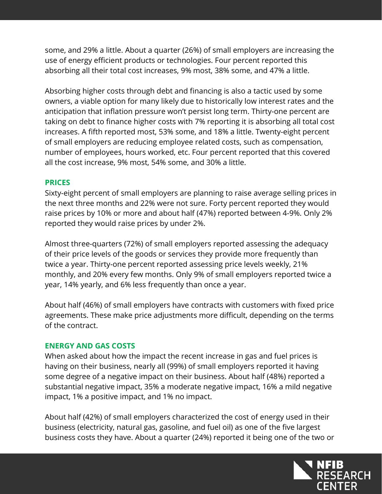some, and 29% a little. About a quarter (26%) of small employers are increasing the use of energy efficient products or technologies. Four percent reported this absorbing all their total cost increases, 9% most, 38% some, and 47% a little.

Absorbing higher costs through debt and financing is also a tactic used by some owners, a viable option for many likely due to historically low interest rates and the anticipation that inflation pressure won't persist long term. Thirty-one percent are taking on debt to finance higher costs with 7% reporting it is absorbing all total cost increases. A fifth reported most, 53% some, and 18% a little. Twenty-eight percent of small employers are reducing employee related costs, such as compensation, number of employees, hours worked, etc. Four percent reported that this covered all the cost increase, 9% most, 54% some, and 30% a little.

### **PRICES**

Sixty-eight percent of small employers are planning to raise average selling prices in the next three months and 22% were not sure. Forty percent reported they would raise prices by 10% or more and about half (47%) reported between 4-9%. Only 2% reported they would raise prices by under 2%.

Almost three-quarters (72%) of small employers reported assessing the adequacy of their price levels of the goods or services they provide more frequently than twice a year. Thirty-one percent reported assessing price levels weekly, 21% monthly, and 20% every few months. Only 9% of small employers reported twice a year, 14% yearly, and 6% less frequently than once a year.

About half (46%) of small employers have contracts with customers with fixed price agreements. These make price adjustments more difficult, depending on the terms of the contract.

### **ENERGY AND GAS COSTS**

When asked about how the impact the recent increase in gas and fuel prices is having on their business, nearly all (99%) of small employers reported it having some degree of a negative impact on their business. About half (48%) reported a substantial negative impact, 35% a moderate negative impact, 16% a mild negative impact, 1% a positive impact, and 1% no impact.

About half (42%) of small employers characterized the cost of energy used in their business (electricity, natural gas, gasoline, and fuel oil) as one of the five largest business costs they have. About a quarter (24%) reported it being one of the two or

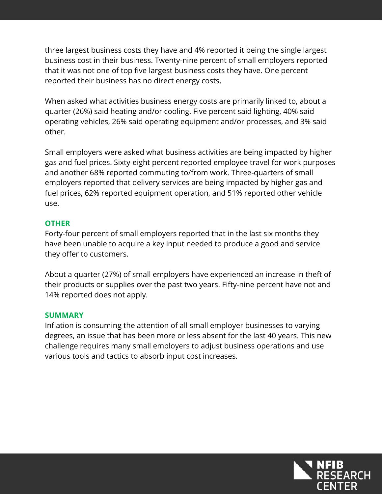three largest business costs they have and 4% reported it being the single largest business cost in their business. Twenty-nine percent of small employers reported that it was not one of top five largest business costs they have. One percent reported their business has no direct energy costs.

When asked what activities business energy costs are primarily linked to, about a quarter (26%) said heating and/or cooling. Five percent said lighting, 40% said operating vehicles, 26% said operating equipment and/or processes, and 3% said other.

Small employers were asked what business activities are being impacted by higher gas and fuel prices. Sixty-eight percent reported employee travel for work purposes and another 68% reported commuting to/from work. Three-quarters of small employers reported that delivery services are being impacted by higher gas and fuel prices, 62% reported equipment operation, and 51% reported other vehicle use.

### **OTHER**

Forty-four percent of small employers reported that in the last six months they have been unable to acquire a key input needed to produce a good and service they offer to customers.

About a quarter (27%) of small employers have experienced an increase in theft of their products or supplies over the past two years. Fifty-nine percent have not and 14% reported does not apply.

### **SUMMARY**

Inflation is consuming the attention of all small employer businesses to varying degrees, an issue that has been more or less absent for the last 40 years. This new challenge requires many small employers to adjust business operations and use various tools and tactics to absorb input cost increases.

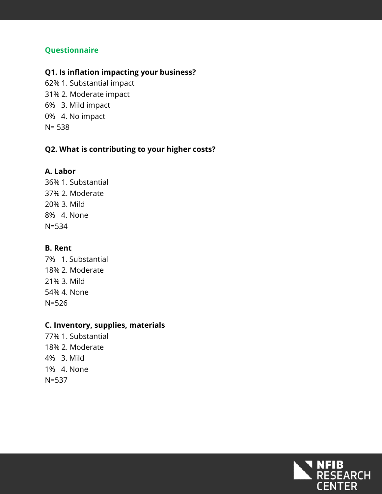### **Questionnaire**

#### **Q1. Is inflation impacting your business?**

62% 1. Substantial impact 31% 2. Moderate impact 6% 3. Mild impact 0% 4. No impact N= 538

### **Q2. What is contributing to your higher costs?**

#### **A. Labor**

36% 1. Substantial 37% 2. Moderate 20% 3. Mild 8% 4. None N=534

#### **B. Rent**

7% 1. Substantial 18% 2. Moderate 21% 3. Mild 54% 4. None N=526

#### **C. Inventory, supplies, materials**

77% 1. Substantial 18% 2. Moderate 4% 3. Mild 1% 4. None N=537

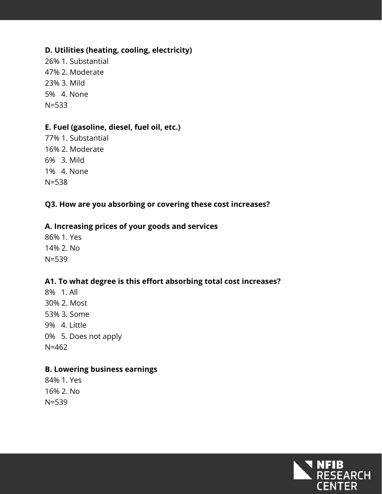### **D. Utilities (heating, cooling, electricity)**

26% 1. Substantial 47% 2. Moderate 23% 3. Mild 5% 4. None N=533

### **E. Fuel (gasoline, diesel, fuel oil, etc.)**

77% 1. Substantial 16% 2. Moderate 6% 3. Mild 1% 4. None N=538

## **Q3. How are you absorbing or covering these cost increases?**

#### **A. Increasing prices of your goods and services**

86% 1. Yes 14% 2. No N=539

## **A1. To what degree is this effort absorbing total cost increases?**

8% 1. All 30% 2. Most 53% 3. Some 9% 4. Little 0% 5. Does not apply N=462

#### **B. Lowering business earnings**

84% 1. Yes 16% 2. No N=539

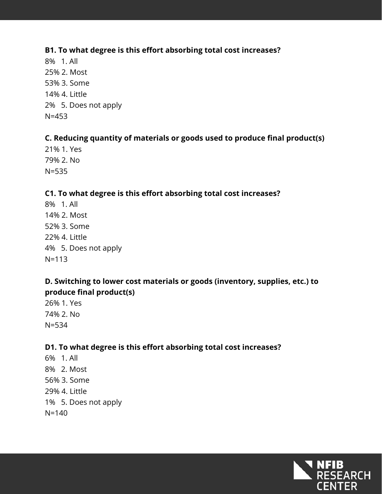### **B1. To what degree is this effort absorbing total cost increases?**

8% 1. All 25% 2. Most 53% 3. Some 14% 4. Little 2% 5. Does not apply N=453

## **C. Reducing quantity of materials or goods used to produce final product(s)**

21% 1. Yes 79% 2. No N=535

## **C1. To what degree is this effort absorbing total cost increases?**

8% 1. All 14% 2. Most 52% 3. Some 22% 4. Little 4% 5. Does not apply N=113

## **D. Switching to lower cost materials or goods (inventory, supplies, etc.) to produce final product(s)**

26% 1. Yes 74% 2. No N=534

# **D1. To what degree is this effort absorbing total cost increases?**

6% 1. All 8% 2. Most 56% 3. Some 29% 4. Little 1% 5. Does not apply N=140

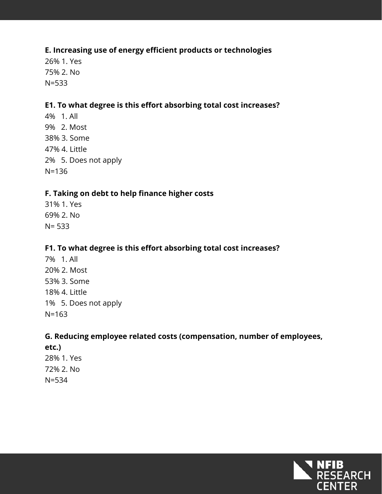### **E. Increasing use of energy efficient products or technologies**

26% 1. Yes 75% 2. No N=533

### **E1. To what degree is this effort absorbing total cost increases?**

4% 1. All 9% 2. Most 38% 3. Some 47% 4. Little 2% 5. Does not apply N=136

### **F. Taking on debt to help finance higher costs**

31% 1. Yes 69% 2. No N= 533

### **F1. To what degree is this effort absorbing total cost increases?**

7% 1. All 20% 2. Most 53% 3. Some 18% 4. Little 1% 5. Does not apply N=163

### **G. Reducing employee related costs (compensation, number of employees,**

**etc.)** 28% 1. Yes 72% 2. No N=534

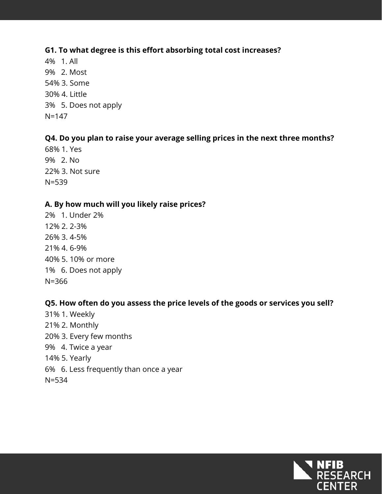#### **G1. To what degree is this effort absorbing total cost increases?**

4% 1. All 9% 2. Most 54% 3. Some 30% 4. Little 3% 5. Does not apply N=147

## **Q4. Do you plan to raise your average selling prices in the next three months?**

68% 1. Yes 9% 2. No 22% 3. Not sure N=539

### **A. By how much will you likely raise prices?**

2% 1. Under 2% 12% 2. 2-3% 26% 3. 4-5% 21% 4. 6-9% 40% 5. 10% or more 1% 6. Does not apply N=366

### **Q5. How often do you assess the price levels of the goods or services you sell?**

31% 1. Weekly 21% 2. Monthly 20% 3. Every few months 9% 4. Twice a year 14% 5. Yearly 6% 6. Less frequently than once a year N=534

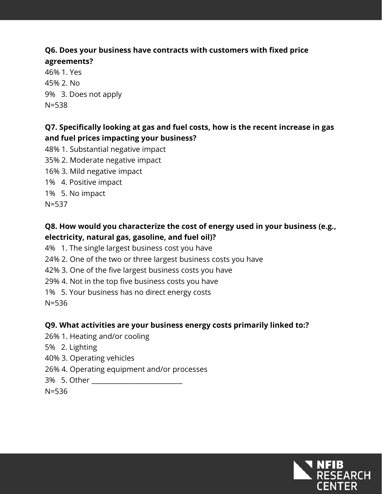# **Q6. Does your business have contracts with customers with fixed price**

**agreements?** 46% 1. Yes 45% 2. No 9% 3. Does not apply N=538

# **Q7. Specifically looking at gas and fuel costs, how is the recent increase in gas and fuel prices impacting your business?**

- 48% 1. Substantial negative impact
- 35% 2. Moderate negative impact
- 16% 3. Mild negative impact
- 1% 4. Positive impact
- 1% 5. No impact

N=537

# **Q8. How would you characterize the cost of energy used in your business (e.g., electricity, natural gas, gasoline, and fuel oil)?**

- 4% 1. The single largest business cost you have
- 24% 2. One of the two or three largest business costs you have
- 42% 3. One of the five largest business costs you have
- 29% 4. Not in the top five business costs you have
- 1% 5. Your business has no direct energy costs

N=536

## **Q9. What activities are your business energy costs primarily linked to:?**

- 26% 1. Heating and/or cooling
- 5% 2. Lighting
- 40% 3. Operating vehicles
- 26% 4. Operating equipment and/or processes
- 3% 5. Other \_\_\_\_\_\_\_\_\_\_\_\_\_\_\_\_\_\_\_\_\_\_\_\_\_\_\_

N=536

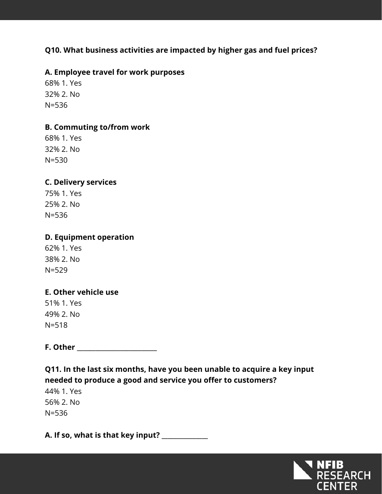## **Q10. What business activities are impacted by higher gas and fuel prices?**

### **A. Employee travel for work purposes**

68% 1. Yes 32% 2. No N=536

### **B. Commuting to/from work**

68% 1. Yes 32% 2. No N=530

## **C. Delivery services**

75% 1. Yes 25% 2. No N=536

### **D. Equipment operation**

62% 1. Yes 38% 2. No N=529

### **E. Other vehicle use**

51% 1. Yes 49% 2. No N=518

**F. Other \_\_\_\_\_\_\_\_\_\_\_\_\_\_\_\_\_\_\_\_\_\_\_\_\_\_**

**Q11. In the last six months, have you been unable to acquire a key input needed to produce a good and service you offer to customers?**

44% 1. Yes 56% 2. No N=536

**A. If so, what is that key input? \_\_\_\_\_\_\_\_\_\_\_\_\_\_\_**